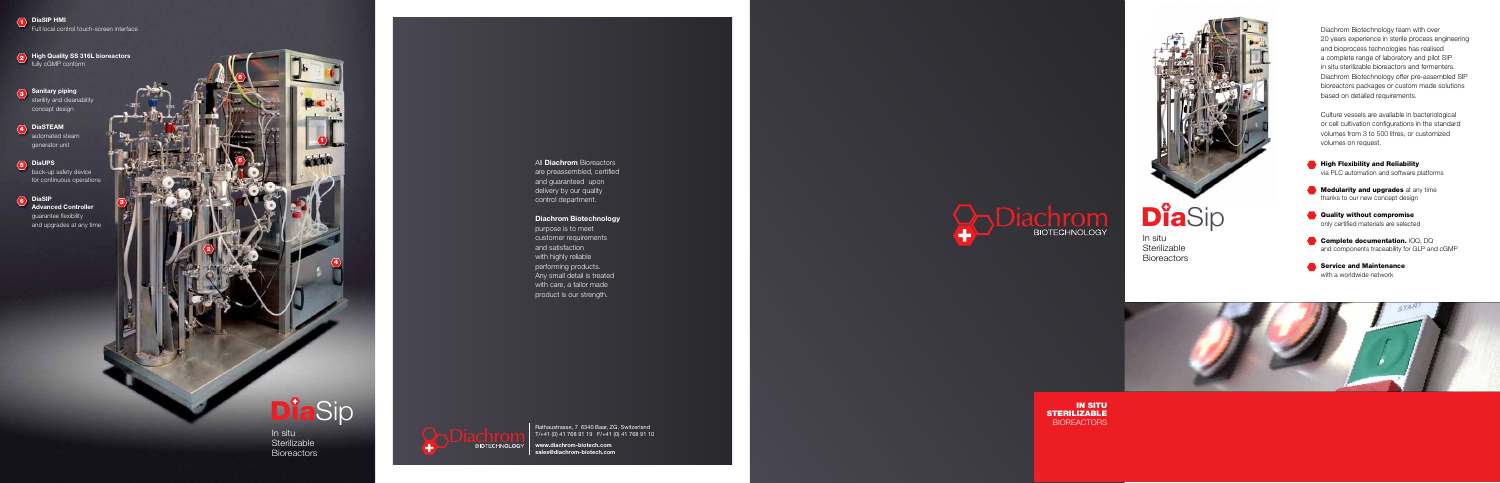All **Diachrom** Bioreactors are preassembled, certified and guaranteed upon

delivery by our quality control department.

#### Diachrom Biotechnology

purpose is to meet customer requirements and satisfaction with highly reliable performing products. Any small detail is treated with care, a tailor made product is our strength.

Rathaustrasse, 7 6340 Baar, ZG, Switzerland T/+41 (0) 41 768 91 19 F/+41 (0) 41 768 91 10

- **High Flexibility and Reliability** via PLC automation and software platforms
- **Modularity and upgrades** at any time thanks to our new concept design
- **Quality without compromise** only certified materials are selected
- Complete documentation. IOQ, DQ and components traceability for GLP and cGMP
- Service and Maintenance with a worldwide network

In situ **Sterilizable Bioreactors** 



www.diachrom-biotech.com sales@diachrom-biotech.com



IN SITU STERILIZABLE **BIOREACTORS** 



**DiaSip** 

# DiaSip

In situ **Sterilizable Bioreactors** 

 $\overline{\textbf{2}}$  High Quality SS 316L bioreactors fully cGMP conform

3 Sanitary piping sterility and cleanability concept design

4 DiaSTEAM automated steam generator unit

5<br>
-<br>
6<br>
6

**5** DiaUPS back-up safety device for continuous operations

 $\langle 6 \rangle$  DiaSIP **Advanced Controller** guarantee flexibility and upgrades at any time Diachrom Biotechnology team with over 20 years experience in sterile process engineering and bioprocess technologies has realised a complete range of laboratory and pilot SIP in situ sterilizable bioreactors and fermenters. Diachrom Biotechnology offer pre-assembled SIP bioreactors packages or custom made solutions based on detailed requirements.

Culture vessels are available in bacteriological or cell cultivation configurations in the standard volumes from 3 to 500 litres, or customized volumes on request.